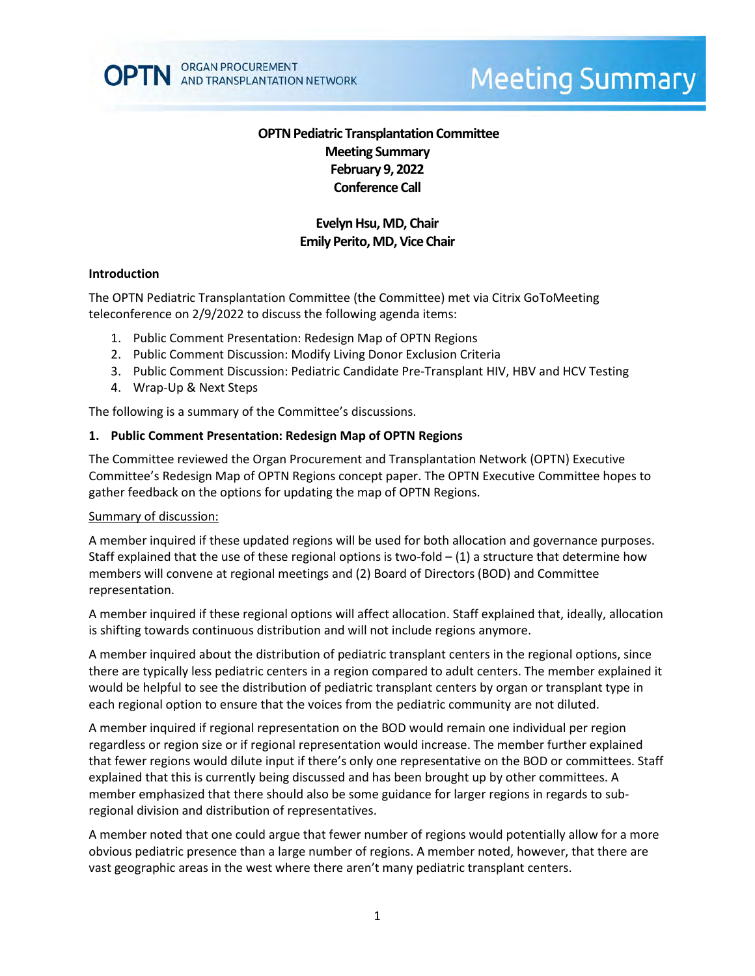

# **Meeting Summary**

# **OPTN Pediatric Transplantation Committee Meeting Summary February 9, 2022 Conference Call**

# **Evelyn Hsu, MD, Chair Emily Perito, MD, Vice Chair**

#### **Introduction**

The OPTN Pediatric Transplantation Committee (the Committee) met via Citrix GoToMeeting teleconference on 2/9/2022 to discuss the following agenda items:

- 1. Public Comment Presentation: Redesign Map of OPTN Regions
- 2. Public Comment Discussion: Modify Living Donor Exclusion Criteria
- 3. Public Comment Discussion: Pediatric Candidate Pre-Transplant HIV, HBV and HCV Testing
- 4. Wrap-Up & Next Steps

The following is a summary of the Committee's discussions.

#### **1. Public Comment Presentation: Redesign Map of OPTN Regions**

The Committee reviewed the Organ Procurement and Transplantation Network (OPTN) Executive Committee's Redesign Map of OPTN Regions concept paper. The OPTN Executive Committee hopes to gather feedback on the options for updating the map of OPTN Regions.

#### Summary of discussion:

A member inquired if these updated regions will be used for both allocation and governance purposes. Staff explained that the use of these regional options is two-fold  $-$  (1) a structure that determine how members will convene at regional meetings and (2) Board of Directors (BOD) and Committee representation.

A member inquired if these regional options will affect allocation. Staff explained that, ideally, allocation is shifting towards continuous distribution and will not include regions anymore.

A member inquired about the distribution of pediatric transplant centers in the regional options, since there are typically less pediatric centers in a region compared to adult centers. The member explained it would be helpful to see the distribution of pediatric transplant centers by organ or transplant type in each regional option to ensure that the voices from the pediatric community are not diluted.

A member inquired if regional representation on the BOD would remain one individual per region regardless or region size or if regional representation would increase. The member further explained that fewer regions would dilute input if there's only one representative on the BOD or committees. Staff explained that this is currently being discussed and has been brought up by other committees. A member emphasized that there should also be some guidance for larger regions in regards to subregional division and distribution of representatives.

A member noted that one could argue that fewer number of regions would potentially allow for a more obvious pediatric presence than a large number of regions. A member noted, however, that there are vast geographic areas in the west where there aren't many pediatric transplant centers.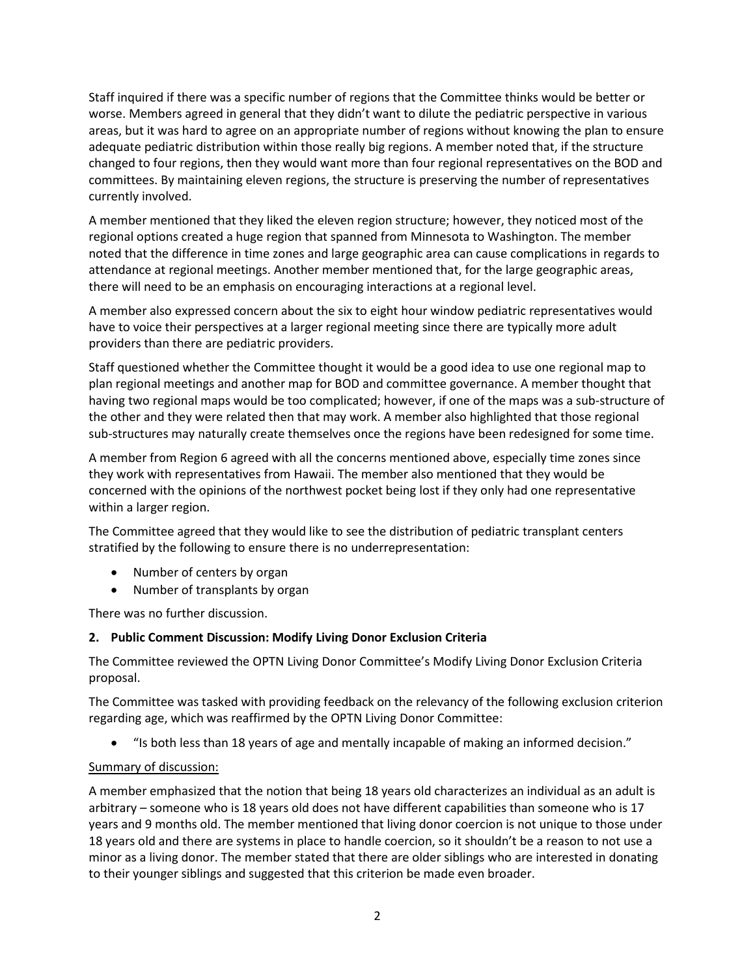Staff inquired if there was a specific number of regions that the Committee thinks would be better or worse. Members agreed in general that they didn't want to dilute the pediatric perspective in various areas, but it was hard to agree on an appropriate number of regions without knowing the plan to ensure adequate pediatric distribution within those really big regions. A member noted that, if the structure changed to four regions, then they would want more than four regional representatives on the BOD and committees. By maintaining eleven regions, the structure is preserving the number of representatives currently involved.

A member mentioned that they liked the eleven region structure; however, they noticed most of the regional options created a huge region that spanned from Minnesota to Washington. The member noted that the difference in time zones and large geographic area can cause complications in regards to attendance at regional meetings. Another member mentioned that, for the large geographic areas, there will need to be an emphasis on encouraging interactions at a regional level.

A member also expressed concern about the six to eight hour window pediatric representatives would have to voice their perspectives at a larger regional meeting since there are typically more adult providers than there are pediatric providers.

Staff questioned whether the Committee thought it would be a good idea to use one regional map to plan regional meetings and another map for BOD and committee governance. A member thought that having two regional maps would be too complicated; however, if one of the maps was a sub-structure of the other and they were related then that may work. A member also highlighted that those regional sub-structures may naturally create themselves once the regions have been redesigned for some time.

A member from Region 6 agreed with all the concerns mentioned above, especially time zones since they work with representatives from Hawaii. The member also mentioned that they would be concerned with the opinions of the northwest pocket being lost if they only had one representative within a larger region.

The Committee agreed that they would like to see the distribution of pediatric transplant centers stratified by the following to ensure there is no underrepresentation:

- Number of centers by organ
- Number of transplants by organ

There was no further discussion.

### **2. Public Comment Discussion: Modify Living Donor Exclusion Criteria**

The Committee reviewed the OPTN Living Donor Committee's Modify Living Donor Exclusion Criteria proposal.

The Committee was tasked with providing feedback on the relevancy of the following exclusion criterion regarding age, which was reaffirmed by the OPTN Living Donor Committee:

• "Is both less than 18 years of age and mentally incapable of making an informed decision."

### Summary of discussion:

A member emphasized that the notion that being 18 years old characterizes an individual as an adult is arbitrary – someone who is 18 years old does not have different capabilities than someone who is 17 years and 9 months old. The member mentioned that living donor coercion is not unique to those under 18 years old and there are systems in place to handle coercion, so it shouldn't be a reason to not use a minor as a living donor. The member stated that there are older siblings who are interested in donating to their younger siblings and suggested that this criterion be made even broader.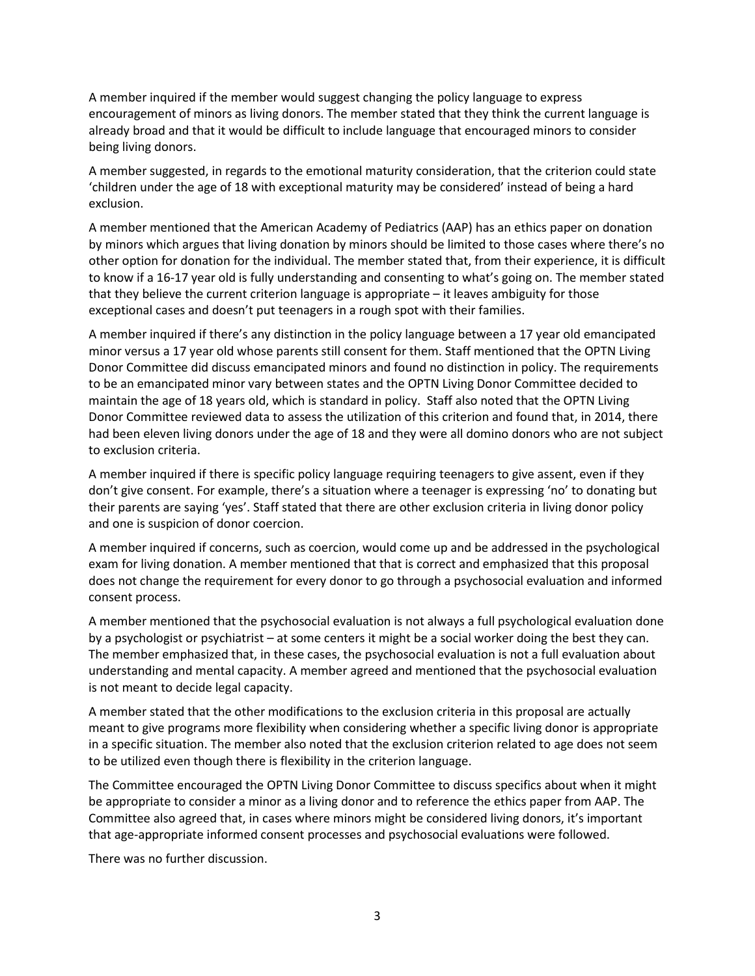A member inquired if the member would suggest changing the policy language to express encouragement of minors as living donors. The member stated that they think the current language is already broad and that it would be difficult to include language that encouraged minors to consider being living donors.

A member suggested, in regards to the emotional maturity consideration, that the criterion could state 'children under the age of 18 with exceptional maturity may be considered' instead of being a hard exclusion.

A member mentioned that the American Academy of Pediatrics (AAP) has an ethics paper on donation by minors which argues that living donation by minors should be limited to those cases where there's no other option for donation for the individual. The member stated that, from their experience, it is difficult to know if a 16-17 year old is fully understanding and consenting to what's going on. The member stated that they believe the current criterion language is appropriate – it leaves ambiguity for those exceptional cases and doesn't put teenagers in a rough spot with their families.

A member inquired if there's any distinction in the policy language between a 17 year old emancipated minor versus a 17 year old whose parents still consent for them. Staff mentioned that the OPTN Living Donor Committee did discuss emancipated minors and found no distinction in policy. The requirements to be an emancipated minor vary between states and the OPTN Living Donor Committee decided to maintain the age of 18 years old, which is standard in policy. Staff also noted that the OPTN Living Donor Committee reviewed data to assess the utilization of this criterion and found that, in 2014, there had been eleven living donors under the age of 18 and they were all domino donors who are not subject to exclusion criteria.

A member inquired if there is specific policy language requiring teenagers to give assent, even if they don't give consent. For example, there's a situation where a teenager is expressing 'no' to donating but their parents are saying 'yes'. Staff stated that there are other exclusion criteria in living donor policy and one is suspicion of donor coercion.

A member inquired if concerns, such as coercion, would come up and be addressed in the psychological exam for living donation. A member mentioned that that is correct and emphasized that this proposal does not change the requirement for every donor to go through a psychosocial evaluation and informed consent process.

A member mentioned that the psychosocial evaluation is not always a full psychological evaluation done by a psychologist or psychiatrist – at some centers it might be a social worker doing the best they can. The member emphasized that, in these cases, the psychosocial evaluation is not a full evaluation about understanding and mental capacity. A member agreed and mentioned that the psychosocial evaluation is not meant to decide legal capacity.

A member stated that the other modifications to the exclusion criteria in this proposal are actually meant to give programs more flexibility when considering whether a specific living donor is appropriate in a specific situation. The member also noted that the exclusion criterion related to age does not seem to be utilized even though there is flexibility in the criterion language.

The Committee encouraged the OPTN Living Donor Committee to discuss specifics about when it might be appropriate to consider a minor as a living donor and to reference the ethics paper from AAP. The Committee also agreed that, in cases where minors might be considered living donors, it's important that age-appropriate informed consent processes and psychosocial evaluations were followed.

There was no further discussion.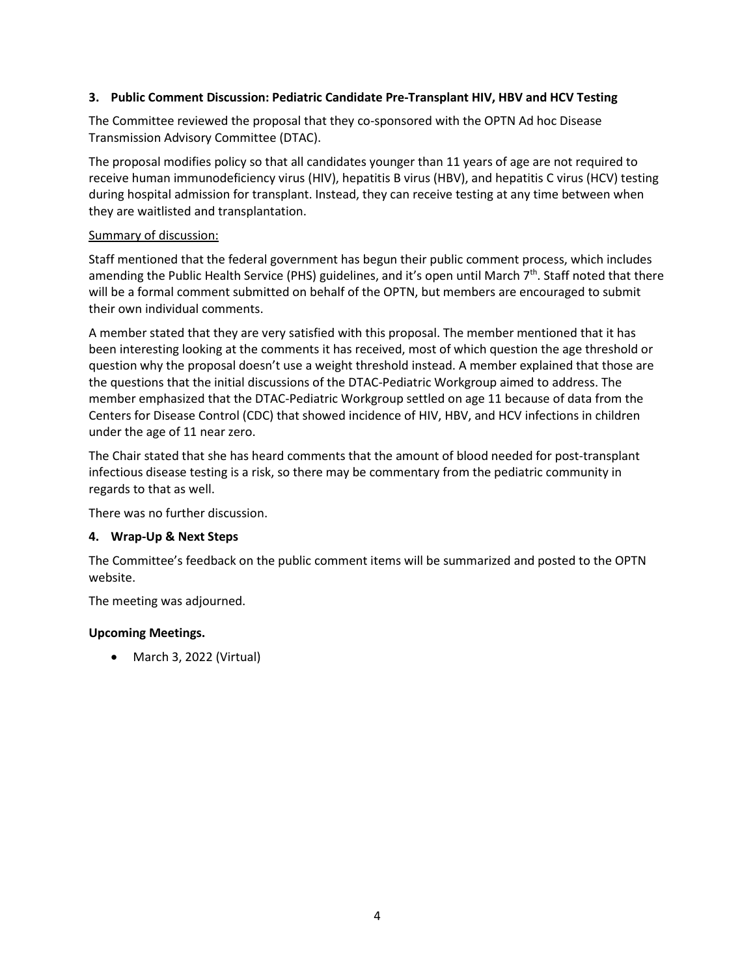## **3. Public Comment Discussion: Pediatric Candidate Pre-Transplant HIV, HBV and HCV Testing**

The Committee reviewed the proposal that they co-sponsored with the OPTN Ad hoc Disease Transmission Advisory Committee (DTAC).

The proposal modifies policy so that all candidates younger than 11 years of age are not required to receive human immunodeficiency virus (HIV), hepatitis B virus (HBV), and hepatitis C virus (HCV) testing during hospital admission for transplant. Instead, they can receive testing at any time between when they are waitlisted and transplantation.

## Summary of discussion:

Staff mentioned that the federal government has begun their public comment process, which includes amending the Public Health Service (PHS) guidelines, and it's open until March  $7<sup>th</sup>$ . Staff noted that there will be a formal comment submitted on behalf of the OPTN, but members are encouraged to submit their own individual comments.

A member stated that they are very satisfied with this proposal. The member mentioned that it has been interesting looking at the comments it has received, most of which question the age threshold or question why the proposal doesn't use a weight threshold instead. A member explained that those are the questions that the initial discussions of the DTAC-Pediatric Workgroup aimed to address. The member emphasized that the DTAC-Pediatric Workgroup settled on age 11 because of data from the Centers for Disease Control (CDC) that showed incidence of HIV, HBV, and HCV infections in children under the age of 11 near zero.

The Chair stated that she has heard comments that the amount of blood needed for post-transplant infectious disease testing is a risk, so there may be commentary from the pediatric community in regards to that as well.

There was no further discussion.

# **4. Wrap-Up & Next Steps**

The Committee's feedback on the public comment items will be summarized and posted to the OPTN website.

The meeting was adjourned.

# **Upcoming Meetings.**

• March 3, 2022 (Virtual)